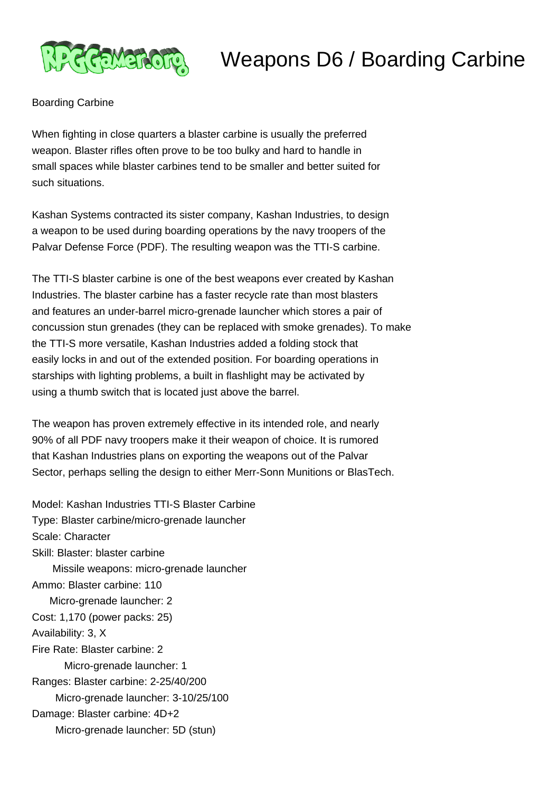

## Weapons D6 / Boarding Carbine

## Boarding Carbine

When fighting in close quarters a blaster carbine is usually the preferred weapon. Blaster rifles often prove to be too bulky and hard to handle in small spaces while blaster carbines tend to be smaller and better suited for such situations.

Kashan Systems contracted its sister company, Kashan Industries, to design a weapon to be used during boarding operations by the navy troopers of the Palvar Defense Force (PDF). The resulting weapon was the TTI-S carbine.

The TTI-S blaster carbine is one of the best weapons ever created by Kashan Industries. The blaster carbine has a faster recycle rate than most blasters and features an under-barrel micro-grenade launcher which stores a pair of concussion stun grenades (they can be replaced with smoke grenades). To make the TTI-S more versatile, Kashan Industries added a folding stock that easily locks in and out of the extended position. For boarding operations in starships with lighting problems, a built in flashlight may be activated by using a thumb switch that is located just above the barrel.

The weapon has proven extremely effective in its intended role, and nearly 90% of all PDF navy troopers make it their weapon of choice. It is rumored that Kashan Industries plans on exporting the weapons out of the Palvar Sector, perhaps selling the design to either Merr-Sonn Munitions or BlasTech.

Model: Kashan Industries TTI-S Blaster Carbine Type: Blaster carbine/micro-grenade launcher Scale: Character Skill: Blaster: blaster carbine Missile weapons: micro-grenade launcher Ammo: Blaster carbine: 110 Micro-grenade launcher: 2 Cost: 1,170 (power packs: 25) Availability: 3, X Fire Rate: Blaster carbine: 2 Micro-grenade launcher: 1 Ranges: Blaster carbine: 2-25/40/200 Micro-grenade launcher: 3-10/25/100 Damage: Blaster carbine: 4D+2 Micro-grenade launcher: 5D (stun)